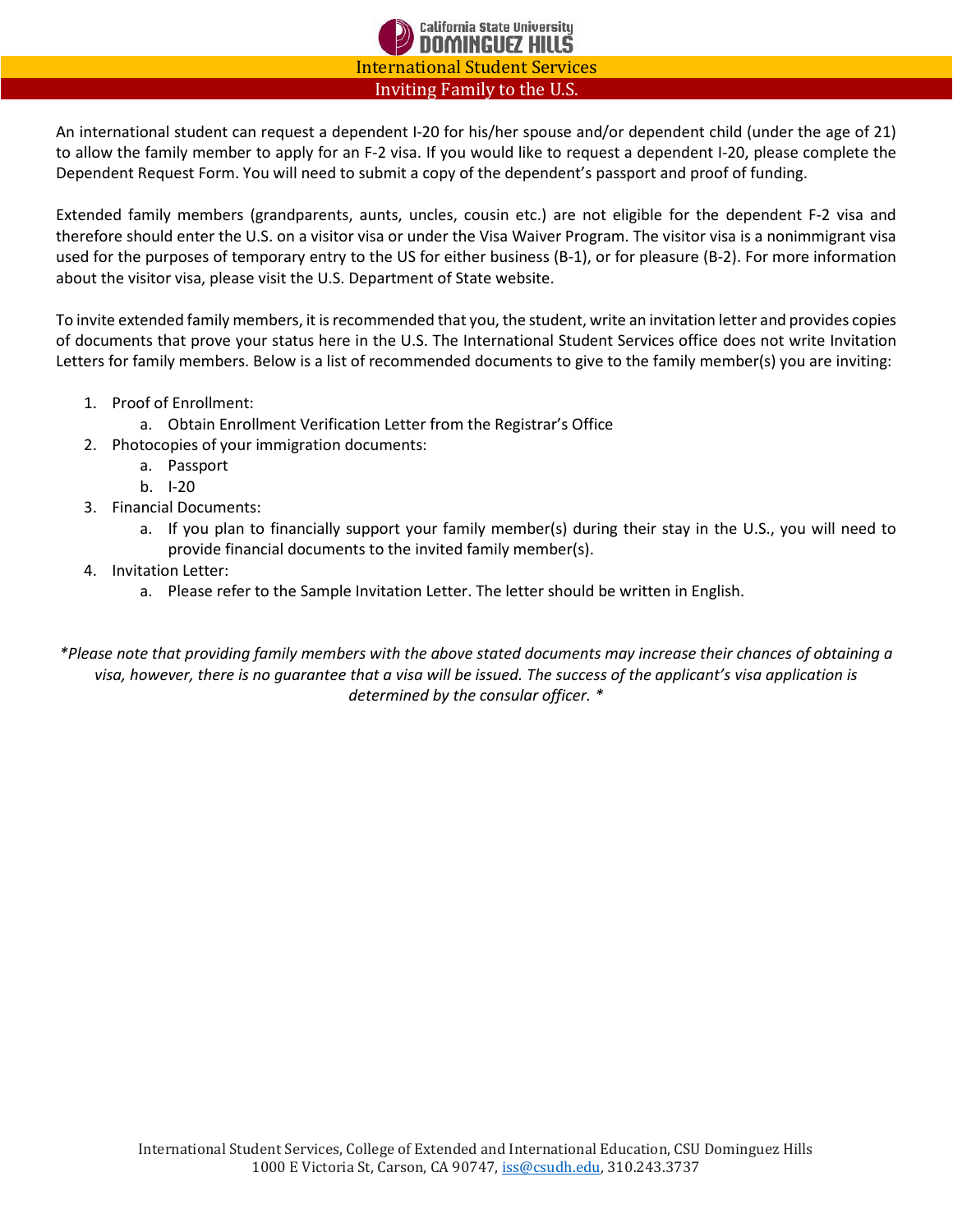

An international student can request a dependent I-20 for his/her spouse and/or dependent child (under the age of 21) to allow the family member to apply for an F-2 visa. If you would like to request a dependent I-20, please complete the Dependent Request Form. You will need to submit a copy of the dependent's passport and proof of funding.

Extended family members (grandparents, aunts, uncles, cousin etc.) are not eligible for the dependent F-2 visa and therefore should enter the U.S. on a visitor visa or under the Visa Waiver Program. The visitor visa is a nonimmigrant visa used for the purposes of temporary entry to the US for either business (B-1), or for pleasure (B-2). For more information about the visitor visa, please visit the U.S. Department of State website.

To invite extended family members, it is recommended that you, the student, write an invitation letter and provides copies of documents that prove your status here in the U.S. The International Student Services office does not write Invitation Letters for family members. Below is a list of recommended documents to give to the family member(s) you are inviting:

- 1. Proof of Enrollment:
	- a. Obtain Enrollment Verification Letter from the Registrar's Office
- 2. Photocopies of your immigration documents:
	- a. Passport
	- b. I-20
- 3. Financial Documents:
	- a. If you plan to financially support your family member(s) during their stay in the U.S., you will need to provide financial documents to the invited family member(s).
- 4. Invitation Letter:
	- a. Please refer to the Sample Invitation Letter. The letter should be written in English.

*\*Please note that providing family members with the above stated documents may increase their chances of obtaining a visa, however, there is no guarantee that a visa will be issued. The success of the applicant's visa application is determined by the consular officer. \**